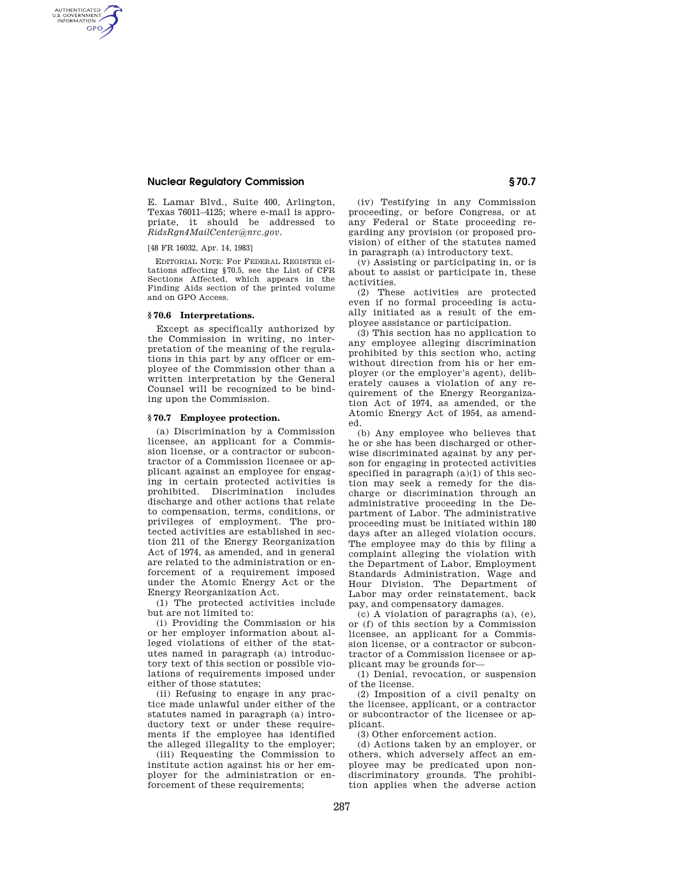## **Nuclear Regulatory Commission § 70.7**

E. Lamar Blvd., Suite 400, Arlington, Texas 76011–4125; where e-mail is appropriate, it should be addressed to *RidsRgn4MailCenter@nrc.gov.* 

### [48 FR 16032, Apr. 14, 1983]

AUTHENTICATED<br>U.S. GOVERNMENT<br>INFORMATION **GPO** 

> EDITORIAL NOTE: For FEDERAL REGISTER citations affecting §70.5, see the List of CFR Sections Affected, which appears in the Finding Aids section of the printed volume and on GPO Access.

#### **§ 70.6 Interpretations.**

Except as specifically authorized by the Commission in writing, no interpretation of the meaning of the regulations in this part by any officer or employee of the Commission other than a written interpretation by the General Counsel will be recognized to be binding upon the Commission.

## **§ 70.7 Employee protection.**

(a) Discrimination by a Commission licensee, an applicant for a Commission license, or a contractor or subcontractor of a Commission licensee or applicant against an employee for engaging in certain protected activities is prohibited. Discrimination includes discharge and other actions that relate to compensation, terms, conditions, or privileges of employment. The protected activities are established in section 211 of the Energy Reorganization Act of 1974, as amended, and in general are related to the administration or enforcement of a requirement imposed under the Atomic Energy Act or the Energy Reorganization Act.

(1) The protected activities include but are not limited to:

(i) Providing the Commission or his or her employer information about alleged violations of either of the statutes named in paragraph (a) introductory text of this section or possible violations of requirements imposed under either of those statutes;

(ii) Refusing to engage in any practice made unlawful under either of the statutes named in paragraph (a) introductory text or under these requirements if the employee has identified the alleged illegality to the employer;

(iii) Requesting the Commission to institute action against his or her employer for the administration or enforcement of these requirements;

(iv) Testifying in any Commission proceeding, or before Congress, or at any Federal or State proceeding regarding any provision (or proposed provision) of either of the statutes named in paragraph (a) introductory text.

(v) Assisting or participating in, or is about to assist or participate in, these activities.

(2) These activities are protected even if no formal proceeding is actually initiated as a result of the employee assistance or participation.

(3) This section has no application to any employee alleging discrimination prohibited by this section who, acting without direction from his or her employer (or the employer's agent), deliberately causes a violation of any requirement of the Energy Reorganization Act of 1974, as amended, or the Atomic Energy Act of 1954, as amended.

(b) Any employee who believes that he or she has been discharged or otherwise discriminated against by any person for engaging in protected activities specified in paragraph (a)(1) of this section may seek a remedy for the discharge or discrimination through an administrative proceeding in the Department of Labor. The administrative proceeding must be initiated within 180 days after an alleged violation occurs. The employee may do this by filing a complaint alleging the violation with the Department of Labor, Employment Standards Administration, Wage and Hour Division. The Department of Labor may order reinstatement, back pay, and compensatory damages.

(c) A violation of paragraphs (a), (e), or (f) of this section by a Commission licensee, an applicant for a Commission license, or a contractor or subcontractor of a Commission licensee or applicant may be grounds for—

(1) Denial, revocation, or suspension of the license.

(2) Imposition of a civil penalty on the licensee, applicant, or a contractor or subcontractor of the licensee or applicant.

(3) Other enforcement action.

(d) Actions taken by an employer, or others, which adversely affect an employee may be predicated upon nondiscriminatory grounds. The prohibition applies when the adverse action